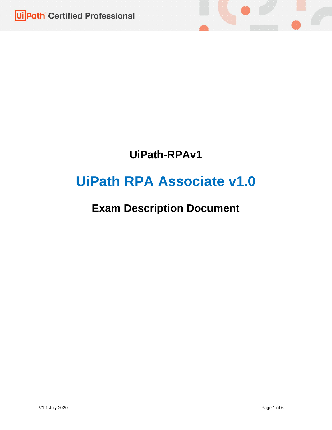



# **UiPath RPA Associate v1.0**

## **Exam Description Document**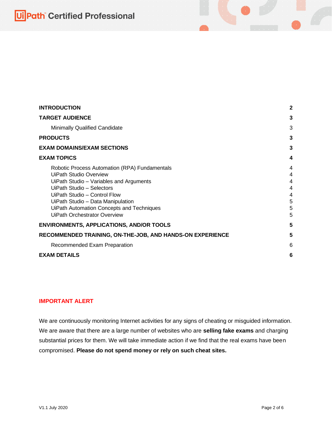## **Ui Path** Certified Professional

| <b>INTRODUCTION</b>                                                                                                                                                                                                                                                                                             | 2                                    |
|-----------------------------------------------------------------------------------------------------------------------------------------------------------------------------------------------------------------------------------------------------------------------------------------------------------------|--------------------------------------|
| <b>TARGET AUDIENCE</b>                                                                                                                                                                                                                                                                                          | 3                                    |
| Minimally Qualified Candidate                                                                                                                                                                                                                                                                                   | 3                                    |
| <b>PRODUCTS</b>                                                                                                                                                                                                                                                                                                 | 3                                    |
| <b>EXAM DOMAINS/EXAM SECTIONS</b>                                                                                                                                                                                                                                                                               | 3                                    |
| <b>EXAM TOPICS</b>                                                                                                                                                                                                                                                                                              | 4                                    |
| Robotic Process Automation (RPA) Fundamentals<br><b>UiPath Studio Overview</b><br>UiPath Studio - Variables and Arguments<br>UiPath Studio - Selectors<br>UiPath Studio - Control Flow<br>UiPath Studio - Data Manipulation<br>UiPath Automation Concepts and Techniques<br><b>UiPath Orchestrator Overview</b> | 4<br>4<br>4<br>4<br>4<br>5<br>5<br>5 |
| <b>ENVIRONMENTS, APPLICATIONS, AND/OR TOOLS</b>                                                                                                                                                                                                                                                                 | 5                                    |
| RECOMMENDED TRAINING, ON-THE-JOB, AND HANDS-ON EXPERIENCE                                                                                                                                                                                                                                                       | 5                                    |
| Recommended Exam Preparation                                                                                                                                                                                                                                                                                    | 6                                    |
| <b>EXAM DETAILS</b>                                                                                                                                                                                                                                                                                             | 6                                    |

#### <span id="page-1-0"></span>**IMPORTANT ALERT**

We are continuously monitoring Internet activities for any signs of cheating or misguided information. We are aware that there are a large number of websites who are **selling fake exams** and charging substantial prices for them. We will take immediate action if we find that the real exams have been compromised. **Please do not spend money or rely on such cheat sites.**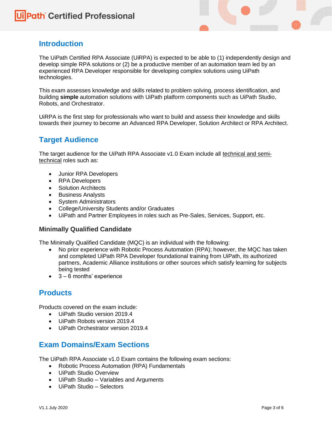## **Introduction**

The UiPath Certified RPA Associate (UiRPA) is expected to be able to (1) independently design and develop simple RPA solutions or (2) be a productive member of an automation team led by an experienced RPA Developer responsible for developing complex solutions using UiPath technologies.

This exam assesses knowledge and skills related to problem solving, process identification, and building **simple** automation solutions with UiPath platform components such as UiPath Studio, Robots, and Orchestrator.

UiRPA is the first step for professionals who want to build and assess their knowledge and skills towards their journey to become an Advanced RPA Developer, Solution Architect or RPA Architect.

## <span id="page-2-0"></span>**Target Audience**

The target audience for the UiPath RPA Associate v1.0 Exam include all technical and semitechnical roles such as:

- Junior RPA Developers
- RPA Developers
- Solution Architects
- Business Analysts
- System Administrators
- College/University Students and/or Graduates
- UiPath and Partner Employees in roles such as Pre-Sales, Services, Support, etc.

#### <span id="page-2-1"></span>**Minimally Qualified Candidate**

The Minimally Qualified Candidate (MQC) is an individual with the following:

- No prior experience with Robotic Process Automation (RPA); however, the MQC has taken and completed UiPath RPA Developer foundational training from UiPath, its authorized partners, Academic Alliance institutions or other sources which satisfy learning for subjects being tested
- 3 6 months' experience

### <span id="page-2-2"></span>**Products**

Products covered on the exam include:

- UiPath Studio version 2019.4
- UiPath Robots version 2019.4
- UiPath Orchestrator version 2019.4

### <span id="page-2-3"></span>**Exam Domains/Exam Sections**

The UiPath RPA Associate v1.0 Exam contains the following exam sections:

- Robotic Process Automation (RPA) Fundamentals
- UiPath Studio Overview
- UiPath Studio Variables and Arguments
- UiPath Studio Selectors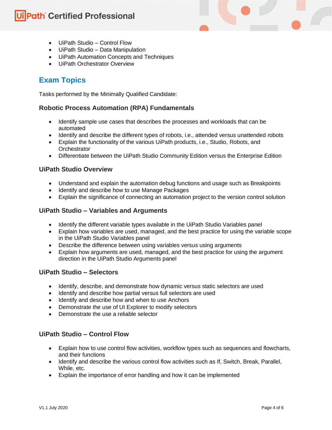## **Ui Path Certified Professional**

- UiPath Studio Control Flow
- UiPath Studio Data Manipulation
- UiPath Automation Concepts and Techniques
- UiPath Orchestrator Overview

## <span id="page-3-0"></span>**Exam Topics**

Tasks performed by the Minimally Qualified Candidate:

#### <span id="page-3-1"></span>**Robotic Process Automation (RPA) Fundamentals**

- Identify sample use cases that describes the processes and workloads that can be automated
- Identify and describe the different types of robots, i.e., attended versus unattended robots
- Explain the functionality of the various UiPath products, i.e., Studio, Robots, and **Orchestrator**
- Differentiate between the UiPath Studio Community Edition versus the Enterprise Edition

#### <span id="page-3-2"></span>**UiPath Studio Overview**

- Understand and explain the automation debug functions and usage such as Breakpoints
- Identify and describe how to use Manage Packages
- Explain the significance of connecting an automation project to the version control solution

#### <span id="page-3-3"></span>**UiPath Studio – Variables and Arguments**

- Identify the different variable types available in the UiPath Studio Variables panel
- Explain how variables are used, managed, and the best practice for using the variable scope in the UiPath Studio Variables panel
- Describe the difference between using variables versus using arguments
- Explain how arguments are used, managed, and the best practice for using the argument direction in the UiPath Studio Arguments panel

#### <span id="page-3-4"></span>**UiPath Studio – Selectors**

- Identify, describe, and demonstrate how dynamic versus static selectors are used
- Identify and describe how partial versus full selectors are used
- Identify and describe how and when to use Anchors
- Demonstrate the use of UI Explorer to modify selectors
- Demonstrate the use a reliable selector

#### <span id="page-3-5"></span>**UiPath Studio – Control Flow**

- Explain how to use control flow activities, workflow types such as sequences and flowcharts, and their functions
- Identify and describe the various control flow activities such as If, Switch, Break, Parallel, While, etc.
- Explain the importance of error handling and how it can be implemented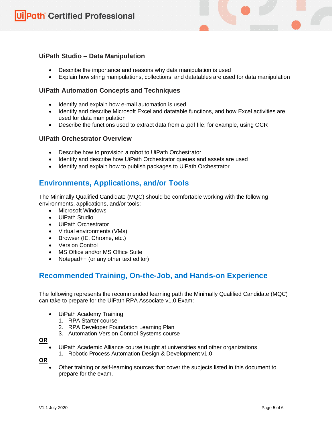#### <span id="page-4-0"></span>**UiPath Studio – Data Manipulation**

- Describe the importance and reasons why data manipulation is used
- Explain how string manipulations, collections, and datatables are used for data manipulation

#### <span id="page-4-1"></span>**UiPath Automation Concepts and Techniques**

- Identify and explain how e-mail automation is used
- Identify and describe Microsoft Excel and datatable functions, and how Excel activities are used for data manipulation
- Describe the functions used to extract data from a .pdf file; for example, using OCR

#### <span id="page-4-2"></span>**UiPath Orchestrator Overview**

- Describe how to provision a robot to UiPath Orchestrator
- Identify and describe how UiPath Orchestrator queues and assets are used
- Identify and explain how to publish packages to UiPath Orchestrator

### <span id="page-4-3"></span>**Environments, Applications, and/or Tools**

The Minimally Qualified Candidate (MQC) should be comfortable working with the following environments, applications, and/or tools:

- Microsoft Windows
- UiPath Studio
- UiPath Orchestrator
- Virtual environments (VMs)
- Browser (IE, Chrome, etc.)
- Version Control
- MS Office and/or MS Office Suite
- Notepad++ (or any other text editor)

## <span id="page-4-4"></span>**Recommended Training, On-the-Job, and Hands-on Experience**

The following represents the recommended learning path the Minimally Qualified Candidate (MQC) can take to prepare for the UiPath RPA Associate v1.0 Exam:

- UiPath Academy Training:
	- 1. RPA Starter course
	- 2. RPA Developer Foundation Learning Plan
	- 3. Automation Version Control Systems course

#### **OR**

- UiPath Academic Alliance course taught at universities and other organizations
	- 1. Robotic Process Automation Design & Development v1.0

**OR**

• Other training or self-learning sources that cover the subjects listed in this document to prepare for the exam.